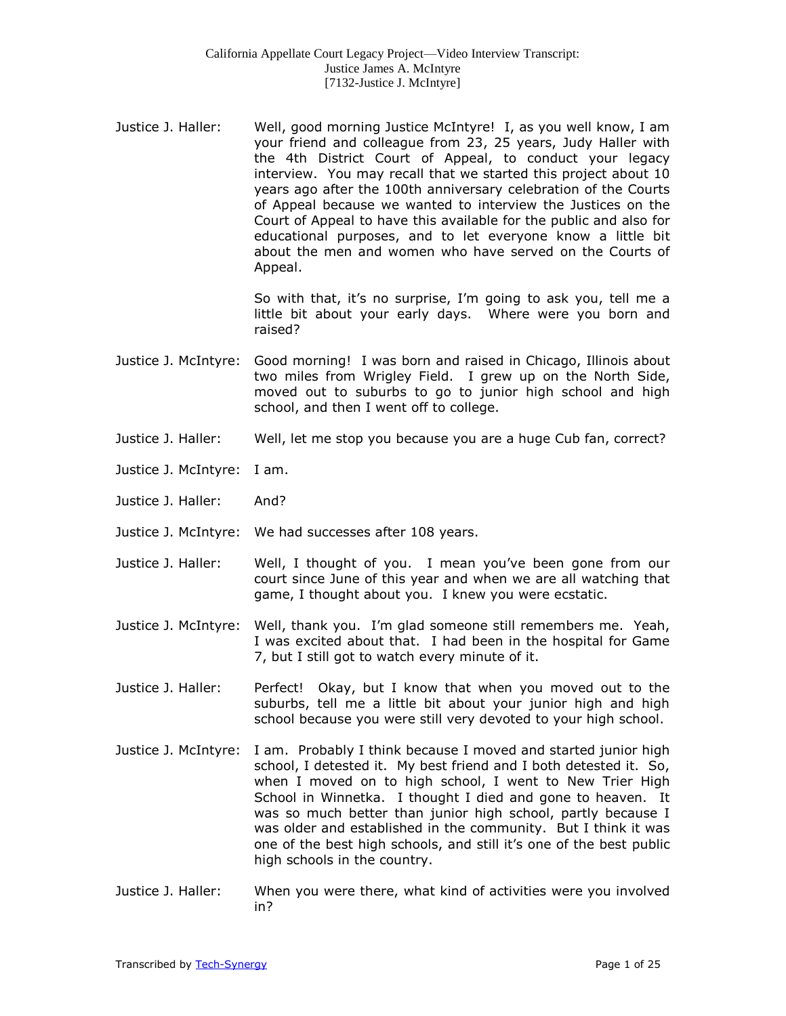Justice J. Haller: Well, good morning Justice McIntyre! I, as you well know, I am your friend and colleague from 23, 25 years, Judy Haller with the 4th District Court of Appeal, to conduct your legacy interview. You may recall that we started this project about 10 years ago after the 100th anniversary celebration of the Courts of Appeal because we wanted to interview the Justices on the Court of Appeal to have this available for the public and also for educational purposes, and to let everyone know a little bit about the men and women who have served on the Courts of Appeal.

> So with that, it's no surprise, I'm going to ask you, tell me a little bit about your early days. Where were you born and raised?

- Justice J. McIntyre: Good morning! I was born and raised in Chicago, Illinois about two miles from Wrigley Field. I grew up on the North Side, moved out to suburbs to go to junior high school and high school, and then I went off to college.
- Justice J. Haller: Well, let me stop you because you are a huge Cub fan, correct?
- Justice J. McIntyre: I am.
- Justice J. Haller: And?
- Justice J. McIntyre: We had successes after 108 years.
- Justice J. Haller: Well, I thought of you. I mean you've been gone from our court since June of this year and when we are all watching that game, I thought about you. I knew you were ecstatic.
- Justice J. McIntyre: Well, thank you. I'm glad someone still remembers me. Yeah, I was excited about that. I had been in the hospital for Game 7, but I still got to watch every minute of it.
- Justice J. Haller: Perfect! Okay, but I know that when you moved out to the suburbs, tell me a little bit about your junior high and high school because you were still very devoted to your high school.
- Justice J. McIntyre: I am. Probably I think because I moved and started junior high school, I detested it. My best friend and I both detested it. So, when I moved on to high school, I went to New Trier High School in Winnetka. I thought I died and gone to heaven. It was so much better than junior high school, partly because I was older and established in the community. But I think it was one of the best high schools, and still it's one of the best public high schools in the country.
- Justice J. Haller: When you were there, what kind of activities were you involved in?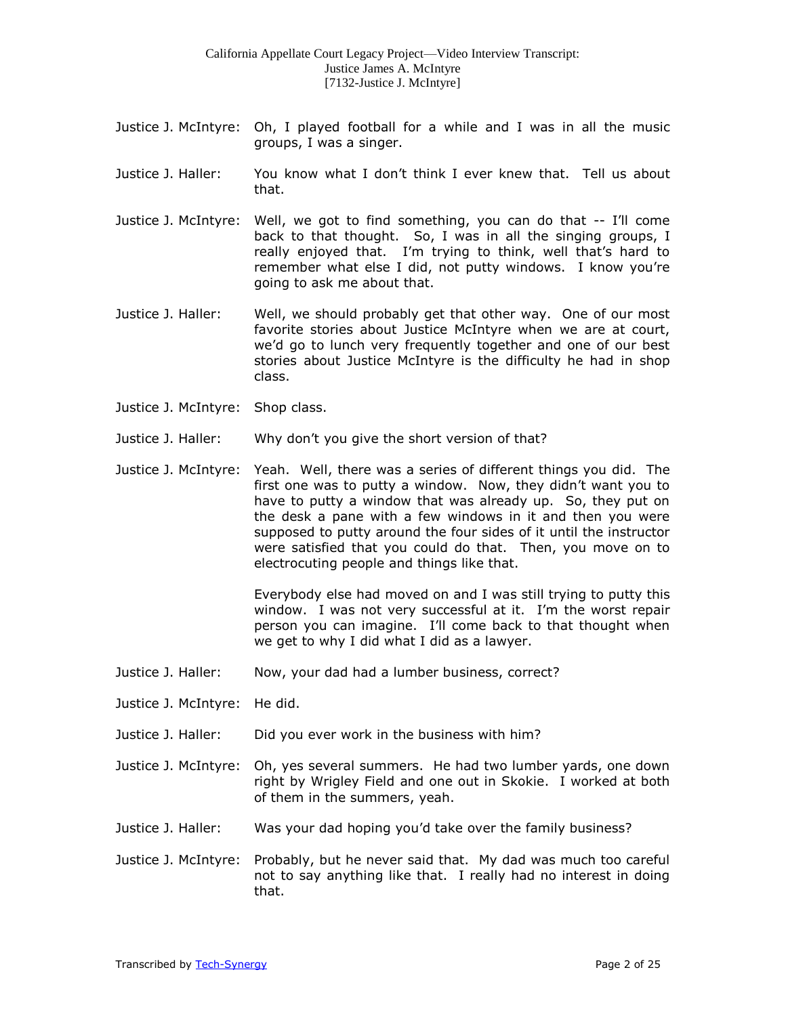- Justice J. McIntyre: Oh, I played football for a while and I was in all the music groups, I was a singer.
- Justice J. Haller: You know what I don't think I ever knew that. Tell us about that.
- Justice J. McIntyre: Well, we got to find something, you can do that -- I'll come back to that thought. So, I was in all the singing groups, I really enjoyed that. I'm trying to think, well that's hard to remember what else I did, not putty windows. I know you're going to ask me about that.
- Justice J. Haller: Well, we should probably get that other way. One of our most favorite stories about Justice McIntyre when we are at court, we'd go to lunch very frequently together and one of our best stories about Justice McIntyre is the difficulty he had in shop class.
- Justice J. McIntyre: Shop class.
- Justice J. Haller: Why don't you give the short version of that?
- Justice J. McIntyre: Yeah. Well, there was a series of different things you did. The first one was to putty a window. Now, they didn't want you to have to putty a window that was already up. So, they put on the desk a pane with a few windows in it and then you were supposed to putty around the four sides of it until the instructor were satisfied that you could do that. Then, you move on to electrocuting people and things like that.

Everybody else had moved on and I was still trying to putty this window. I was not very successful at it. I'm the worst repair person you can imagine. I'll come back to that thought when we get to why I did what I did as a lawyer.

- Justice J. Haller: Now, your dad had a lumber business, correct?
- Justice J. McIntyre: He did.
- Justice J. Haller: Did you ever work in the business with him?
- Justice J. McIntyre: Oh, yes several summers. He had two lumber yards, one down right by Wrigley Field and one out in Skokie. I worked at both of them in the summers, yeah.
- Justice J. Haller: Was your dad hoping you'd take over the family business?
- Justice J. McIntyre: Probably, but he never said that. My dad was much too careful not to say anything like that. I really had no interest in doing that.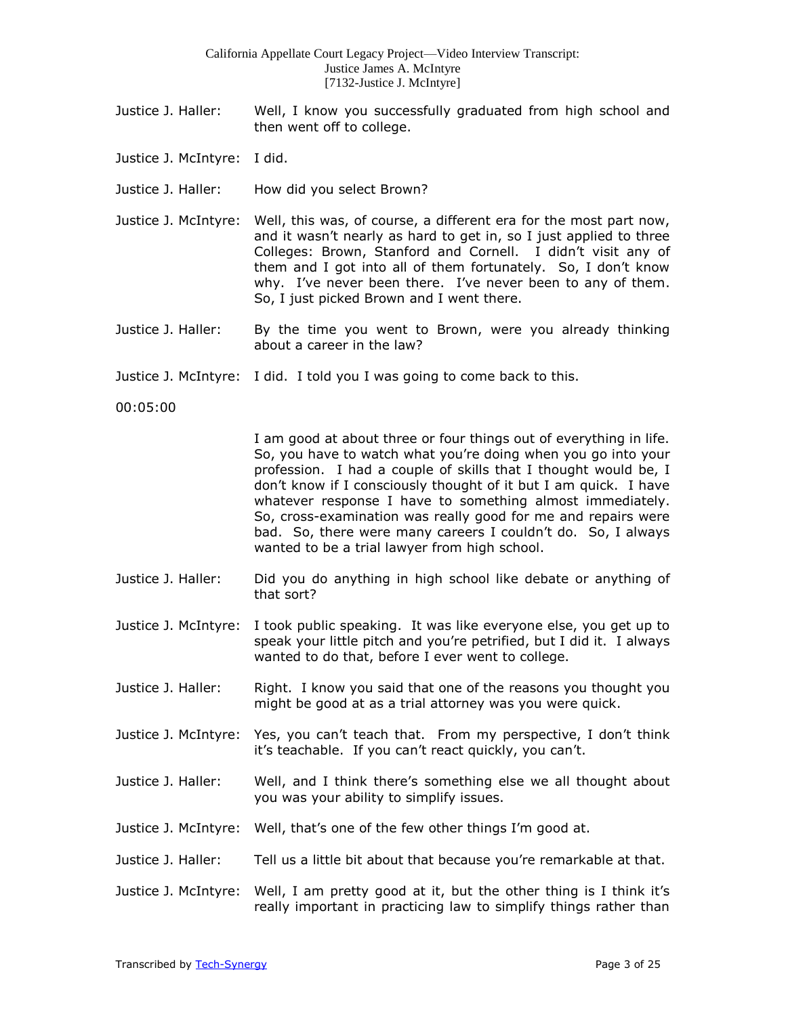- Justice J. Haller: Well, I know you successfully graduated from high school and then went off to college.
- Justice J. McIntyre: I did.
- Justice J. Haller: How did you select Brown?
- Justice J. McIntyre: Well, this was, of course, a different era for the most part now, and it wasn't nearly as hard to get in, so I just applied to three Colleges: Brown, Stanford and Cornell. I didn't visit any of them and I got into all of them fortunately. So, I don't know why. I've never been there. I've never been to any of them. So, I just picked Brown and I went there.
- Justice J. Haller: By the time you went to Brown, were you already thinking about a career in the law?
- Justice J. McIntyre: I did. I told you I was going to come back to this.

00:05:00

I am good at about three or four things out of everything in life. So, you have to watch what you're doing when you go into your profession. I had a couple of skills that I thought would be, I don't know if I consciously thought of it but I am quick. I have whatever response I have to something almost immediately. So, cross-examination was really good for me and repairs were bad. So, there were many careers I couldn't do. So, I always wanted to be a trial lawyer from high school.

- Justice J. Haller: Did you do anything in high school like debate or anything of that sort?
- Justice J. McIntyre: I took public speaking. It was like everyone else, you get up to speak your little pitch and you're petrified, but I did it. I always wanted to do that, before I ever went to college.
- Justice J. Haller: Right. I know you said that one of the reasons you thought you might be good at as a trial attorney was you were quick.
- Justice J. McIntyre: Yes, you can't teach that. From my perspective, I don't think it's teachable. If you can't react quickly, you can't.
- Justice J. Haller: Well, and I think there's something else we all thought about you was your ability to simplify issues.
- Justice J. McIntyre: Well, that's one of the few other things I'm good at.
- Justice J. Haller: Tell us a little bit about that because you're remarkable at that.
- Justice J. McIntyre: Well, I am pretty good at it, but the other thing is I think it's really important in practicing law to simplify things rather than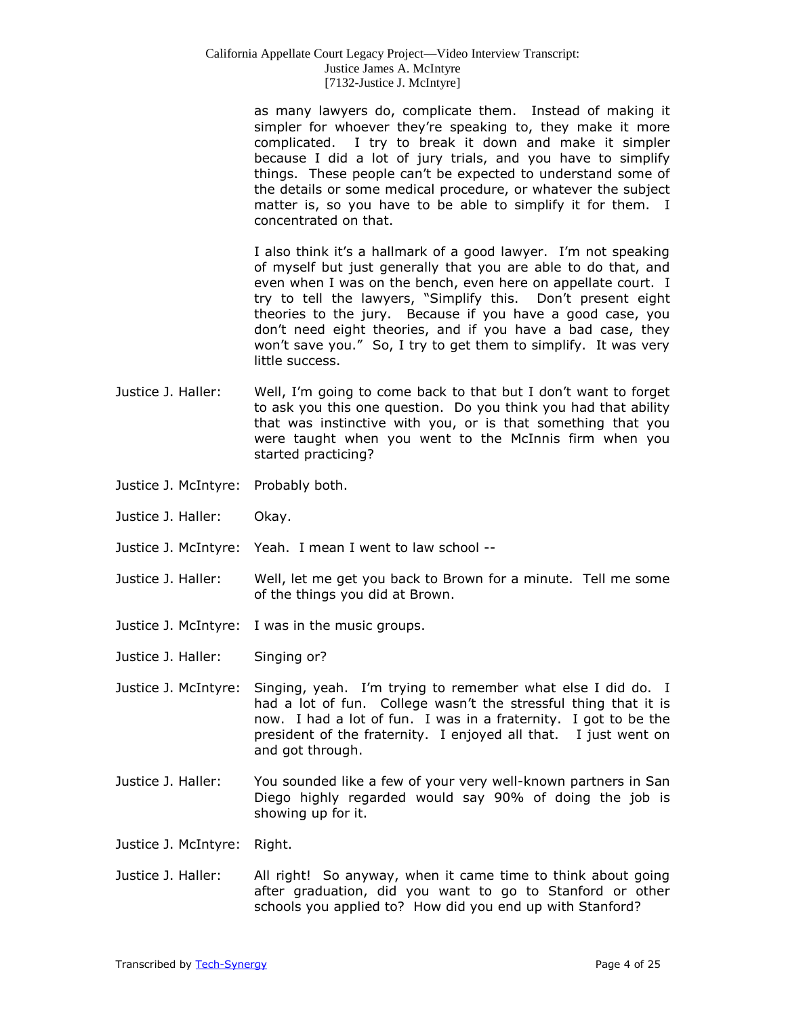as many lawyers do, complicate them. Instead of making it simpler for whoever they're speaking to, they make it more complicated. I try to break it down and make it simpler because I did a lot of jury trials, and you have to simplify things. These people can't be expected to understand some of the details or some medical procedure, or whatever the subject matter is, so you have to be able to simplify it for them. I concentrated on that.

I also think it's a hallmark of a good lawyer. I'm not speaking of myself but just generally that you are able to do that, and even when I was on the bench, even here on appellate court. I try to tell the lawyers, "Simplify this. Don't present eight theories to the jury. Because if you have a good case, you don't need eight theories, and if you have a bad case, they won't save you." So, I try to get them to simplify. It was very little success.

- Justice J. Haller: Well, I'm going to come back to that but I don't want to forget to ask you this one question. Do you think you had that ability that was instinctive with you, or is that something that you were taught when you went to the McInnis firm when you started practicing?
- Justice J. McIntyre: Probably both.
- Justice J. Haller: Okay.
- Justice J. McIntyre: Yeah. I mean I went to law school --
- Justice J. Haller: Well, let me get you back to Brown for a minute. Tell me some of the things you did at Brown.
- Justice J. McIntyre: I was in the music groups.
- Justice J. Haller: Singing or?
- Justice J. McIntyre: Singing, yeah. I'm trying to remember what else I did do. I had a lot of fun. College wasn't the stressful thing that it is now. I had a lot of fun. I was in a fraternity. I got to be the president of the fraternity. I enjoyed all that. I just went on and got through.
- Justice J. Haller: You sounded like a few of your very well-known partners in San Diego highly regarded would say 90% of doing the job is showing up for it.
- Justice J. McIntyre: Right.
- Justice J. Haller: All right! So anyway, when it came time to think about going after graduation, did you want to go to Stanford or other schools you applied to? How did you end up with Stanford?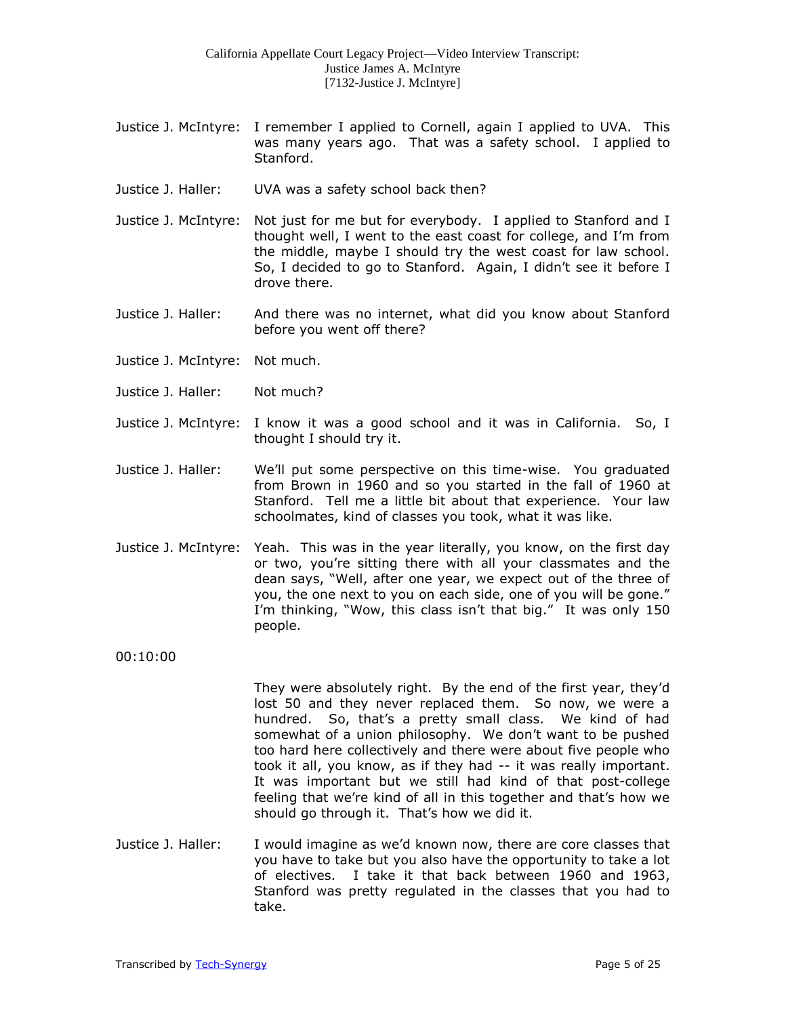- Justice J. McIntyre: I remember I applied to Cornell, again I applied to UVA. This was many years ago. That was a safety school. I applied to Stanford.
- Justice J. Haller: UVA was a safety school back then?
- Justice J. McIntyre: Not just for me but for everybody. I applied to Stanford and I thought well, I went to the east coast for college, and I'm from the middle, maybe I should try the west coast for law school. So, I decided to go to Stanford. Again, I didn't see it before I drove there.
- Justice J. Haller: And there was no internet, what did you know about Stanford before you went off there?
- Justice J. McIntyre: Not much.
- Justice J. Haller: Not much?
- Justice J. McIntyre: I know it was a good school and it was in California. So, I thought I should try it.
- Justice J. Haller: We'll put some perspective on this time-wise. You graduated from Brown in 1960 and so you started in the fall of 1960 at Stanford. Tell me a little bit about that experience. Your law schoolmates, kind of classes you took, what it was like.
- Justice J. McIntyre: Yeah. This was in the year literally, you know, on the first day or two, you're sitting there with all your classmates and the dean says, "Well, after one year, we expect out of the three of you, the one next to you on each side, one of you will be gone." I'm thinking, "Wow, this class isn't that big." It was only 150 people.

00:10:00

- They were absolutely right. By the end of the first year, they'd lost 50 and they never replaced them. So now, we were a hundred. So, that's a pretty small class. We kind of had somewhat of a union philosophy. We don't want to be pushed too hard here collectively and there were about five people who took it all, you know, as if they had -- it was really important. It was important but we still had kind of that post-college feeling that we're kind of all in this together and that's how we should go through it. That's how we did it.
- Justice J. Haller: I would imagine as we'd known now, there are core classes that you have to take but you also have the opportunity to take a lot of electives. I take it that back between 1960 and 1963, Stanford was pretty regulated in the classes that you had to take.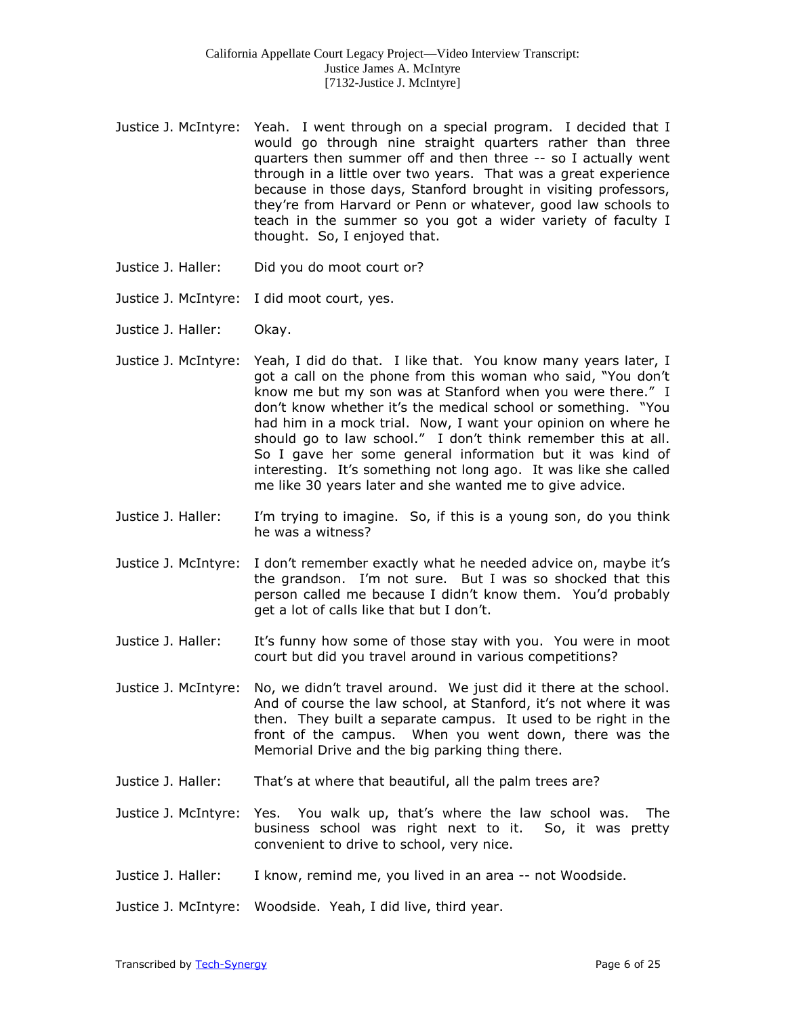- Justice J. McIntyre: Yeah. I went through on a special program. I decided that I would go through nine straight quarters rather than three quarters then summer off and then three -- so I actually went through in a little over two years. That was a great experience because in those days, Stanford brought in visiting professors, they're from Harvard or Penn or whatever, good law schools to teach in the summer so you got a wider variety of faculty I thought. So, I enjoyed that.
- Justice J. Haller: Did you do moot court or?
- Justice J. McIntyre: I did moot court, yes.
- Justice J. Haller: Okay.
- Justice J. McIntyre: Yeah, I did do that. I like that. You know many years later, I got a call on the phone from this woman who said, "You don't know me but my son was at Stanford when you were there." I don't know whether it's the medical school or something. "You had him in a mock trial. Now, I want your opinion on where he should go to law school." I don't think remember this at all. So I gave her some general information but it was kind of interesting. It's something not long ago. It was like she called me like 30 years later and she wanted me to give advice.
- Justice J. Haller: I'm trying to imagine. So, if this is a young son, do you think he was a witness?
- Justice J. McIntyre: I don't remember exactly what he needed advice on, maybe it's the grandson. I'm not sure. But I was so shocked that this person called me because I didn't know them. You'd probably get a lot of calls like that but I don't.
- Justice J. Haller: It's funny how some of those stay with you. You were in moot court but did you travel around in various competitions?
- Justice J. McIntyre: No, we didn't travel around. We just did it there at the school. And of course the law school, at Stanford, it's not where it was then. They built a separate campus. It used to be right in the front of the campus. When you went down, there was the Memorial Drive and the big parking thing there.
- Justice J. Haller: That's at where that beautiful, all the palm trees are?
- Justice J. McIntyre: Yes. You walk up, that's where the law school was. The business school was right next to it. So, it was pretty convenient to drive to school, very nice.
- Justice J. Haller: I know, remind me, you lived in an area -- not Woodside.

Justice J. McIntyre: Woodside. Yeah, I did live, third year.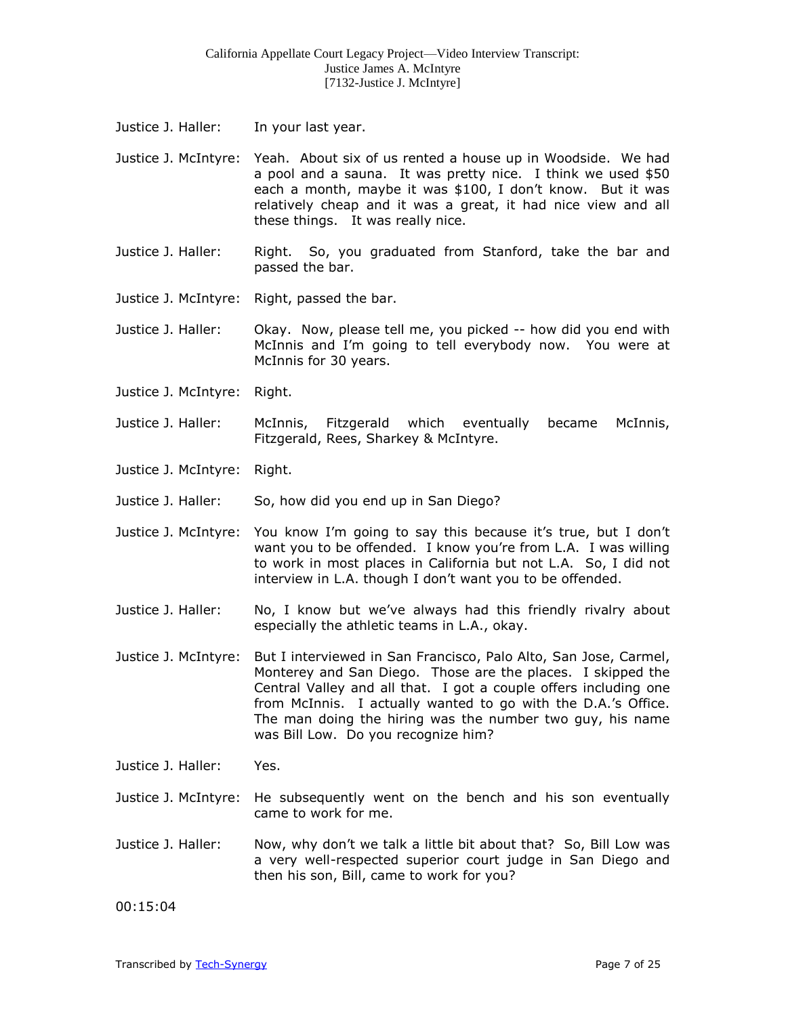- Justice J. Haller: In your last year.
- Justice J. McIntyre: Yeah. About six of us rented a house up in Woodside. We had a pool and a sauna. It was pretty nice. I think we used \$50 each a month, maybe it was \$100, I don't know. But it was relatively cheap and it was a great, it had nice view and all these things. It was really nice.
- Justice J. Haller: Right. So, you graduated from Stanford, take the bar and passed the bar.
- Justice J. McIntyre: Right, passed the bar.
- Justice J. Haller: Okay. Now, please tell me, you picked -- how did you end with McInnis and I'm going to tell everybody now. You were at McInnis for 30 years.
- Justice J. McIntyre: Right.
- Justice J. Haller: McInnis, Fitzgerald which eventually became McInnis, Fitzgerald, Rees, Sharkey & McIntyre.
- Justice J. McIntyre: Right.
- Justice J. Haller: So, how did you end up in San Diego?
- Justice J. McIntyre: You know I'm going to say this because it's true, but I don't want you to be offended. I know you're from L.A. I was willing to work in most places in California but not L.A. So, I did not interview in L.A. though I don't want you to be offended.
- Justice J. Haller: No, I know but we've always had this friendly rivalry about especially the athletic teams in L.A., okay.
- Justice J. McIntyre: But I interviewed in San Francisco, Palo Alto, San Jose, Carmel, Monterey and San Diego. Those are the places. I skipped the Central Valley and all that. I got a couple offers including one from McInnis. I actually wanted to go with the D.A.'s Office. The man doing the hiring was the number two guy, his name was Bill Low. Do you recognize him?
- Justice J. Haller: Yes.
- Justice J. McIntyre: He subsequently went on the bench and his son eventually came to work for me.
- Justice J. Haller: Now, why don't we talk a little bit about that? So, Bill Low was a very well-respected superior court judge in San Diego and then his son, Bill, came to work for you?

00:15:04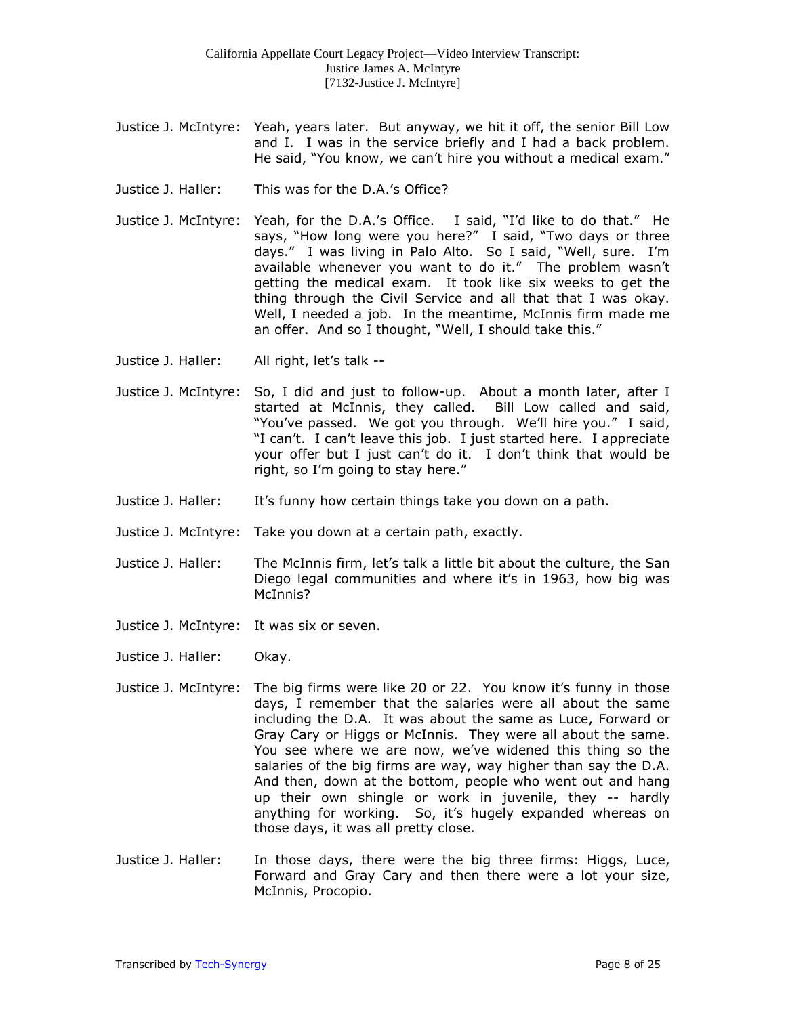- Justice J. McIntyre: Yeah, years later. But anyway, we hit it off, the senior Bill Low and I. I was in the service briefly and I had a back problem. He said, "You know, we can't hire you without a medical exam."
- Justice J. Haller: This was for the D.A.'s Office?
- Justice J. McIntyre: Yeah, for the D.A.'s Office. I said, "I'd like to do that." He says, "How long were you here?" I said, "Two days or three days." I was living in Palo Alto. So I said, "Well, sure. I'm available whenever you want to do it." The problem wasn't getting the medical exam. It took like six weeks to get the thing through the Civil Service and all that that I was okay. Well, I needed a job. In the meantime, McInnis firm made me an offer. And so I thought, "Well, I should take this."
- Justice J. Haller: All right, let's talk --
- Justice J. McIntyre: So, I did and just to follow-up. About a month later, after I started at McInnis, they called. Bill Low called and said, "You've passed. We got you through. We'll hire you." I said, "I can't. I can't leave this job. I just started here. I appreciate your offer but I just can't do it. I don't think that would be right, so I'm going to stay here."
- Justice J. Haller: It's funny how certain things take you down on a path.
- Justice J. McIntyre: Take you down at a certain path, exactly.
- Justice J. Haller: The McInnis firm, let's talk a little bit about the culture, the San Diego legal communities and where it's in 1963, how big was McInnis?
- Justice J. McIntyre: It was six or seven.
- Justice J. Haller: Okay.
- Justice J. McIntyre: The big firms were like 20 or 22. You know it's funny in those days, I remember that the salaries were all about the same including the D.A. It was about the same as Luce, Forward or Gray Cary or Higgs or McInnis. They were all about the same. You see where we are now, we've widened this thing so the salaries of the big firms are way, way higher than say the D.A. And then, down at the bottom, people who went out and hang up their own shingle or work in juvenile, they -- hardly anything for working. So, it's hugely expanded whereas on those days, it was all pretty close.
- Justice J. Haller: In those days, there were the big three firms: Higgs, Luce, Forward and Gray Cary and then there were a lot your size, McInnis, Procopio.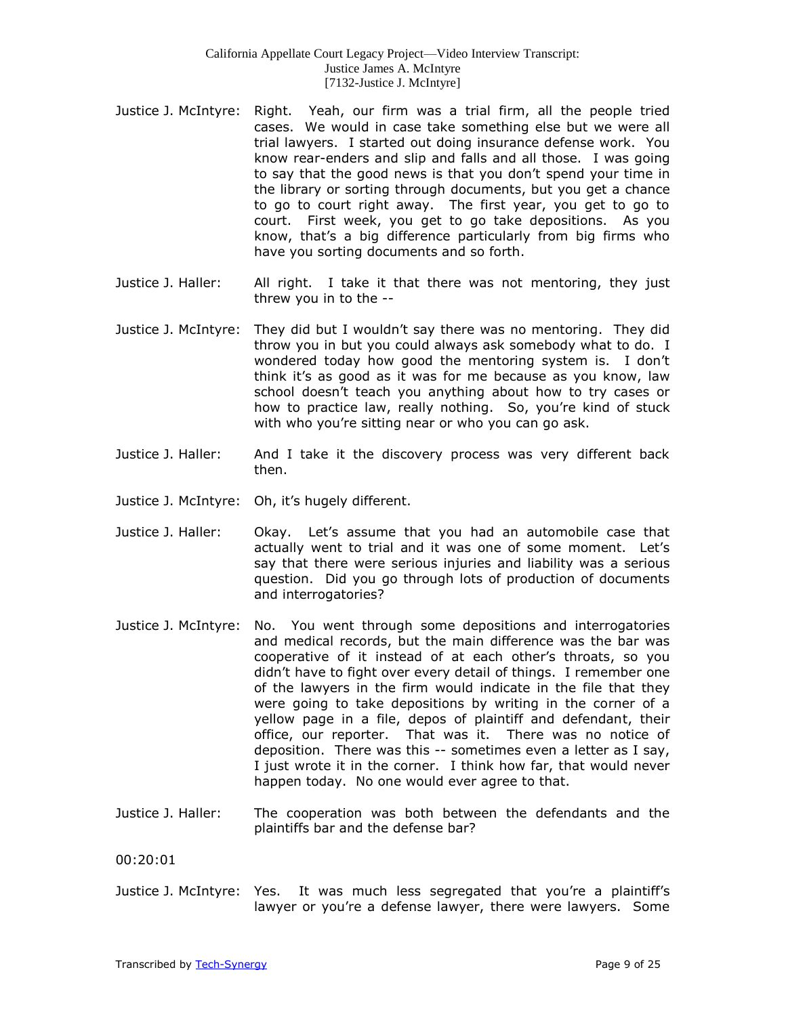- Justice J. McIntyre: Right. Yeah, our firm was a trial firm, all the people tried cases. We would in case take something else but we were all trial lawyers. I started out doing insurance defense work. You know rear-enders and slip and falls and all those. I was going to say that the good news is that you don't spend your time in the library or sorting through documents, but you get a chance to go to court right away. The first year, you get to go to court. First week, you get to go take depositions. As you know, that's a big difference particularly from big firms who have you sorting documents and so forth.
- Justice J. Haller: All right. I take it that there was not mentoring, they just threw you in to the --
- Justice J. McIntyre: They did but I wouldn't say there was no mentoring. They did throw you in but you could always ask somebody what to do. I wondered today how good the mentoring system is. I don't think it's as good as it was for me because as you know, law school doesn't teach you anything about how to try cases or how to practice law, really nothing. So, you're kind of stuck with who you're sitting near or who you can go ask.
- Justice J. Haller: And I take it the discovery process was very different back then.
- Justice J. McIntyre: Oh, it's hugely different.
- Justice J. Haller: Okay. Let's assume that you had an automobile case that actually went to trial and it was one of some moment. Let's say that there were serious injuries and liability was a serious question. Did you go through lots of production of documents and interrogatories?
- Justice J. McIntyre: No. You went through some depositions and interrogatories and medical records, but the main difference was the bar was cooperative of it instead of at each other's throats, so you didn't have to fight over every detail of things. I remember one of the lawyers in the firm would indicate in the file that they were going to take depositions by writing in the corner of a yellow page in a file, depos of plaintiff and defendant, their office, our reporter. That was it. There was no notice of deposition. There was this -- sometimes even a letter as I say, I just wrote it in the corner. I think how far, that would never happen today. No one would ever agree to that.
- Justice J. Haller: The cooperation was both between the defendants and the plaintiffs bar and the defense bar?

00:20:01

Justice J. McIntyre: Yes. It was much less segregated that you're a plaintiff's lawyer or you're a defense lawyer, there were lawyers. Some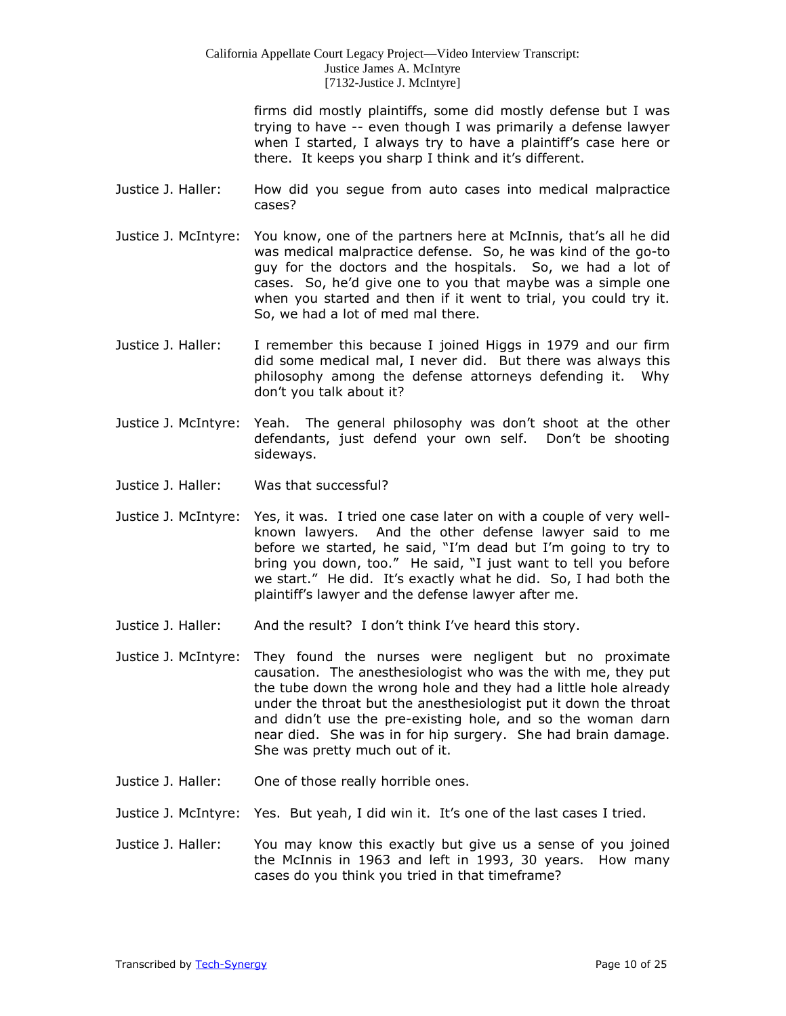firms did mostly plaintiffs, some did mostly defense but I was trying to have -- even though I was primarily a defense lawyer when I started, I always try to have a plaintiff's case here or there. It keeps you sharp I think and it's different.

- Justice J. Haller: How did you segue from auto cases into medical malpractice cases?
- Justice J. McIntyre: You know, one of the partners here at McInnis, that's all he did was medical malpractice defense. So, he was kind of the go-to guy for the doctors and the hospitals. So, we had a lot of cases. So, he'd give one to you that maybe was a simple one when you started and then if it went to trial, you could try it. So, we had a lot of med mal there.
- Justice J. Haller: I remember this because I joined Higgs in 1979 and our firm did some medical mal, I never did. But there was always this philosophy among the defense attorneys defending it. Why don't you talk about it?
- Justice J. McIntyre: Yeah. The general philosophy was don't shoot at the other defendants, just defend your own self. Don't be shooting sideways.
- Justice J. Haller: Was that successful?
- Justice J. McIntyre: Yes, it was. I tried one case later on with a couple of very wellknown lawyers. And the other defense lawyer said to me before we started, he said, "I'm dead but I'm going to try to bring you down, too." He said, "I just want to tell you before we start." He did. It's exactly what he did. So, I had both the plaintiff's lawyer and the defense lawyer after me.
- Justice J. Haller: And the result? I don't think I've heard this story.
- Justice J. McIntyre: They found the nurses were negligent but no proximate causation. The anesthesiologist who was the with me, they put the tube down the wrong hole and they had a little hole already under the throat but the anesthesiologist put it down the throat and didn't use the pre-existing hole, and so the woman darn near died. She was in for hip surgery. She had brain damage. She was pretty much out of it.
- Justice J. Haller: One of those really horrible ones.
- Justice J. McIntyre: Yes. But yeah, I did win it. It's one of the last cases I tried.
- Justice J. Haller: You may know this exactly but give us a sense of you joined the McInnis in 1963 and left in 1993, 30 years. How many cases do you think you tried in that timeframe?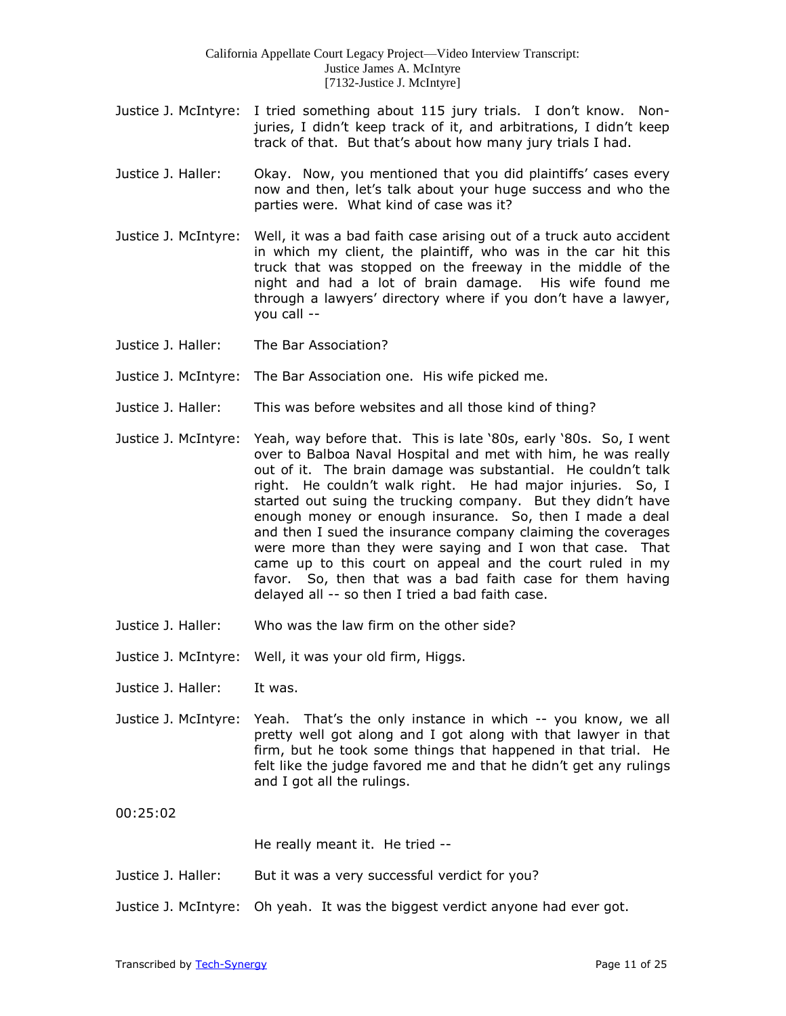- Justice J. McIntyre: I tried something about 115 jury trials. I don't know. Nonjuries, I didn't keep track of it, and arbitrations, I didn't keep track of that. But that's about how many jury trials I had.
- Justice J. Haller: Okay. Now, you mentioned that you did plaintiffs' cases every now and then, let's talk about your huge success and who the parties were. What kind of case was it?
- Justice J. McIntyre: Well, it was a bad faith case arising out of a truck auto accident in which my client, the plaintiff, who was in the car hit this truck that was stopped on the freeway in the middle of the night and had a lot of brain damage. His wife found me through a lawyers' directory where if you don't have a lawyer, you call --
- Justice J. Haller: The Bar Association?
- Justice J. McIntyre: The Bar Association one. His wife picked me.
- Justice J. Haller: This was before websites and all those kind of thing?
- Justice J. McIntyre: Yeah, way before that. This is late '80s, early '80s. So, I went over to Balboa Naval Hospital and met with him, he was really out of it. The brain damage was substantial. He couldn't talk right. He couldn't walk right. He had major injuries. So, I started out suing the trucking company. But they didn't have enough money or enough insurance. So, then I made a deal and then I sued the insurance company claiming the coverages were more than they were saying and I won that case. That came up to this court on appeal and the court ruled in my favor. So, then that was a bad faith case for them having delayed all -- so then I tried a bad faith case.
- Justice J. Haller: Who was the law firm on the other side?
- Justice J. McIntyre: Well, it was your old firm, Higgs.
- Justice J. Haller: It was.
- Justice J. McIntyre: Yeah. That's the only instance in which -- you know, we all pretty well got along and I got along with that lawyer in that firm, but he took some things that happened in that trial. He felt like the judge favored me and that he didn't get any rulings and I got all the rulings.

00:25:02

He really meant it. He tried --

- Justice J. Haller: But it was a very successful verdict for you?
- Justice J. McIntyre: Oh yeah. It was the biggest verdict anyone had ever got.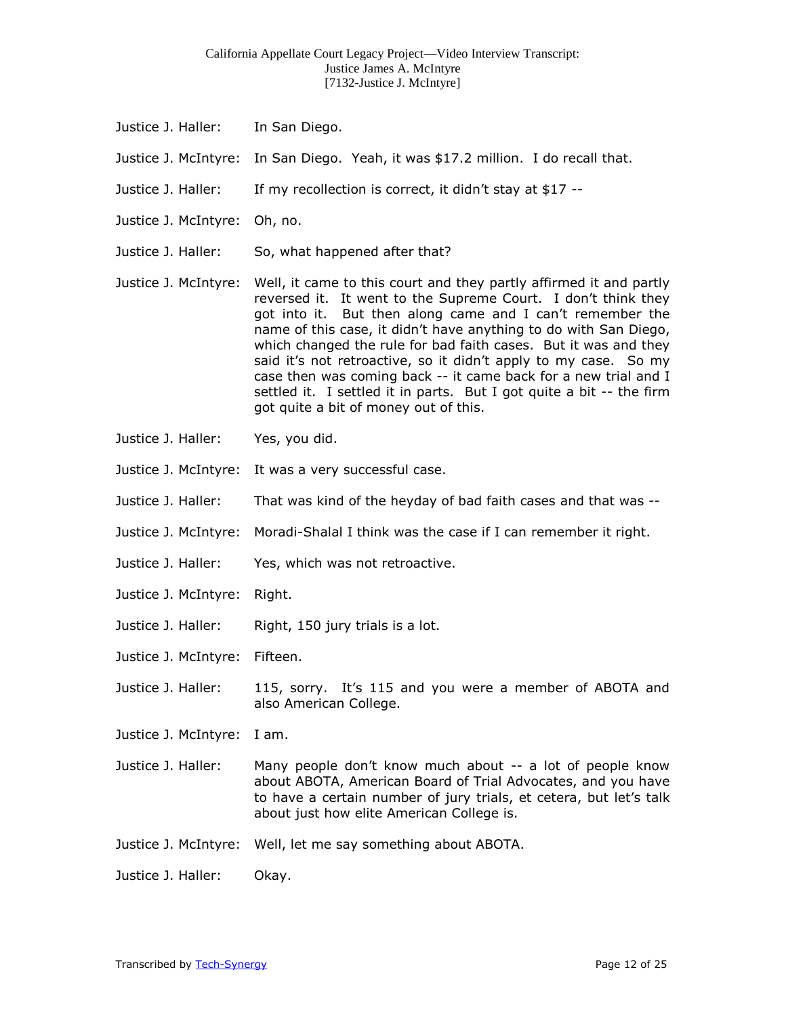- Justice J. Haller: In San Diego.
- Justice J. McIntyre: In San Diego. Yeah, it was \$17.2 million. I do recall that.
- Justice J. Haller: If my recollection is correct, it didn't stay at \$17 --
- Justice J. McIntyre: Oh, no.
- Justice J. Haller: So, what happened after that?
- Justice J. McIntyre: Well, it came to this court and they partly affirmed it and partly reversed it. It went to the Supreme Court. I don't think they got into it. But then along came and I can't remember the name of this case, it didn't have anything to do with San Diego, which changed the rule for bad faith cases. But it was and they said it's not retroactive, so it didn't apply to my case. So my case then was coming back -- it came back for a new trial and I settled it. I settled it in parts. But I got quite a bit -- the firm got quite a bit of money out of this.
- Justice J. Haller: Yes, you did.
- Justice J. McIntyre: It was a very successful case.
- Justice J. Haller: That was kind of the heyday of bad faith cases and that was --
- Justice J. McIntyre: Moradi-Shalal I think was the case if I can remember it right.
- Justice J. Haller: Yes, which was not retroactive.
- Justice J. McIntyre: Right.
- Justice J. Haller: Right, 150 jury trials is a lot.
- Justice J. McIntyre: Fifteen.
- Justice J. Haller: 115, sorry. It's 115 and you were a member of ABOTA and also American College.
- Justice J. McIntyre: I am.
- Justice J. Haller: Many people don't know much about -- a lot of people know about ABOTA, American Board of Trial Advocates, and you have to have a certain number of jury trials, et cetera, but let's talk about just how elite American College is.
- Justice J. McIntyre: Well, let me say something about ABOTA.
- Justice J. Haller: Okay.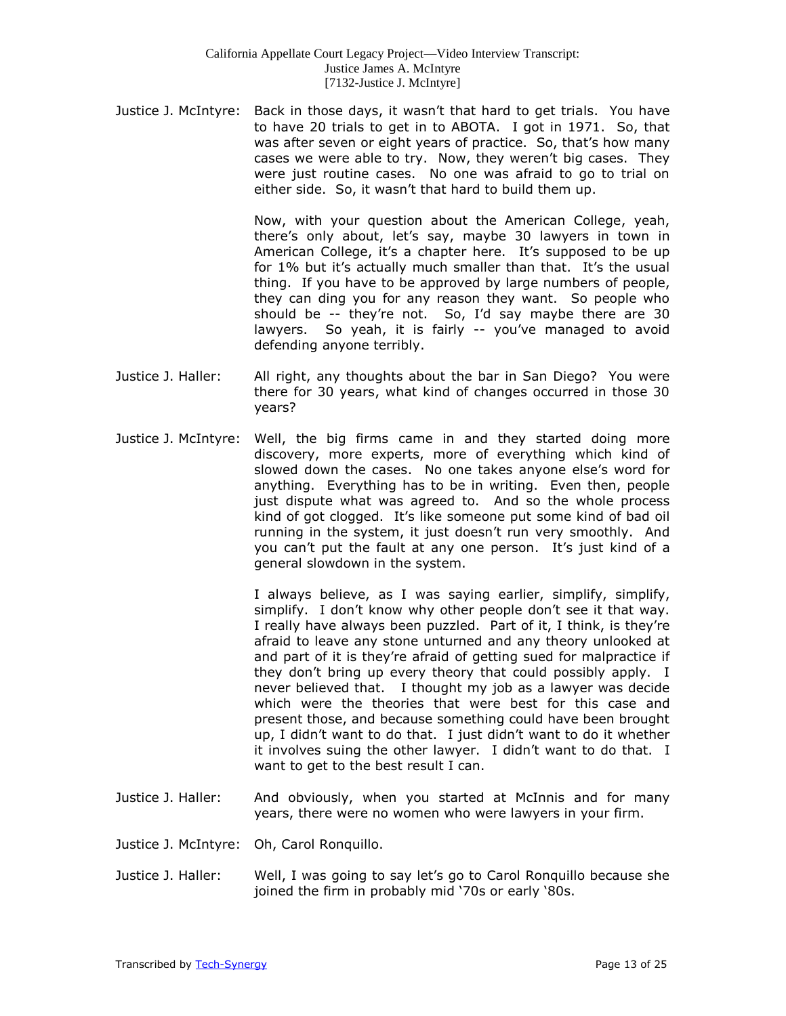Justice J. McIntyre: Back in those days, it wasn't that hard to get trials. You have to have 20 trials to get in to ABOTA. I got in 1971. So, that was after seven or eight years of practice. So, that's how many cases we were able to try. Now, they weren't big cases. They were just routine cases. No one was afraid to go to trial on either side. So, it wasn't that hard to build them up.

> Now, with your question about the American College, yeah, there's only about, let's say, maybe 30 lawyers in town in American College, it's a chapter here. It's supposed to be up for 1% but it's actually much smaller than that. It's the usual thing. If you have to be approved by large numbers of people, they can ding you for any reason they want. So people who should be -- they're not. So, I'd say maybe there are 30 lawyers. So yeah, it is fairly -- you've managed to avoid defending anyone terribly.

- Justice J. Haller: All right, any thoughts about the bar in San Diego? You were there for 30 years, what kind of changes occurred in those 30 years?
- Justice J. McIntyre: Well, the big firms came in and they started doing more discovery, more experts, more of everything which kind of slowed down the cases. No one takes anyone else's word for anything. Everything has to be in writing. Even then, people just dispute what was agreed to. And so the whole process kind of got clogged. It's like someone put some kind of bad oil running in the system, it just doesn't run very smoothly. And you can't put the fault at any one person. It's just kind of a general slowdown in the system.

I always believe, as I was saying earlier, simplify, simplify, simplify. I don't know why other people don't see it that way. I really have always been puzzled. Part of it, I think, is they're afraid to leave any stone unturned and any theory unlooked at and part of it is they're afraid of getting sued for malpractice if they don't bring up every theory that could possibly apply. I never believed that. I thought my job as a lawyer was decide which were the theories that were best for this case and present those, and because something could have been brought up, I didn't want to do that. I just didn't want to do it whether it involves suing the other lawyer. I didn't want to do that. I want to get to the best result I can.

- Justice J. Haller: And obviously, when you started at McInnis and for many years, there were no women who were lawyers in your firm.
- Justice J. McIntyre: Oh, Carol Ronquillo.
- Justice J. Haller: Well, I was going to say let's go to Carol Ronquillo because she joined the firm in probably mid '70s or early '80s.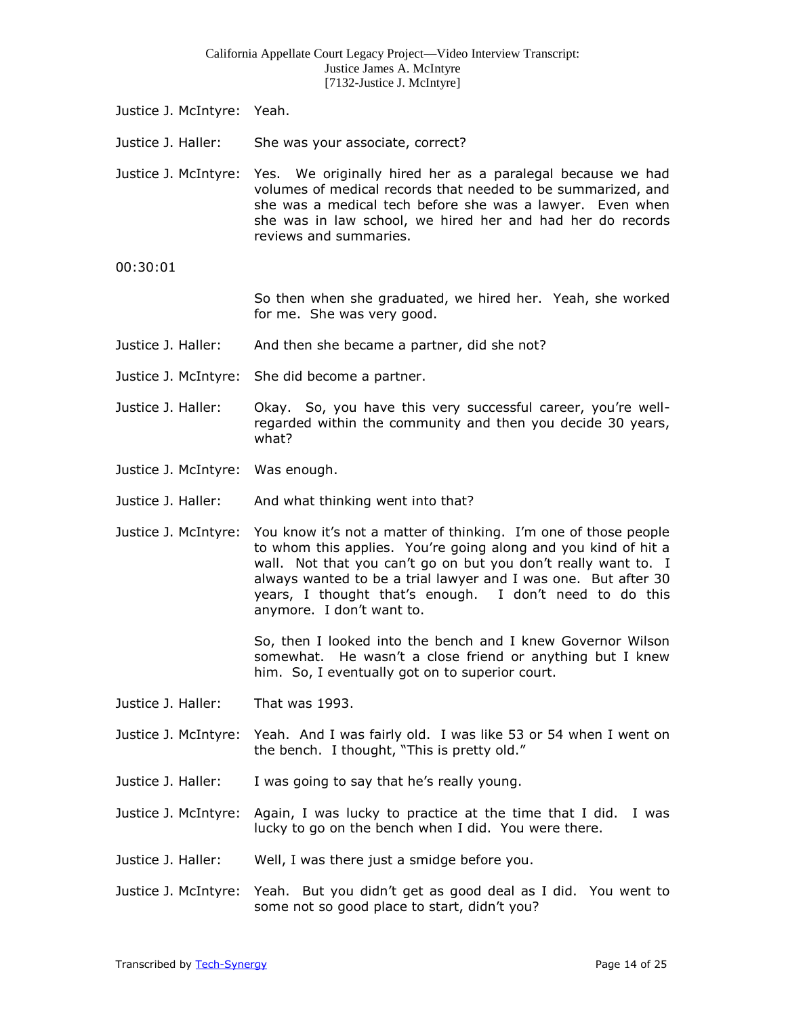- Justice J. McIntyre: Yeah.
- Justice J. Haller: She was your associate, correct?
- Justice J. McIntyre: Yes. We originally hired her as a paralegal because we had volumes of medical records that needed to be summarized, and she was a medical tech before she was a lawyer. Even when she was in law school, we hired her and had her do records reviews and summaries.
- 00:30:01

So then when she graduated, we hired her. Yeah, she worked for me. She was very good.

- Justice J. Haller: And then she became a partner, did she not?
- Justice J. McIntyre: She did become a partner.
- Justice J. Haller: Okay. So, you have this very successful career, you're wellregarded within the community and then you decide 30 years, what?
- Justice J. McIntyre: Was enough.
- Justice J. Haller: And what thinking went into that?
- Justice J. McIntyre: You know it's not a matter of thinking. I'm one of those people to whom this applies. You're going along and you kind of hit a wall. Not that you can't go on but you don't really want to. I always wanted to be a trial lawyer and I was one. But after 30 years, I thought that's enough. I don't need to do this anymore. I don't want to.

So, then I looked into the bench and I knew Governor Wilson somewhat. He wasn't a close friend or anything but I knew him. So, I eventually got on to superior court.

- Justice J. Haller: That was 1993.
- Justice J. McIntyre: Yeah. And I was fairly old. I was like 53 or 54 when I went on the bench. I thought, "This is pretty old."
- Justice J. Haller: I was going to say that he's really young.
- Justice J. McIntyre: Again, I was lucky to practice at the time that I did. I was lucky to go on the bench when I did. You were there.
- Justice J. Haller: Well, I was there just a smidge before you.
- Justice J. McIntyre: Yeah. But you didn't get as good deal as I did. You went to some not so good place to start, didn't you?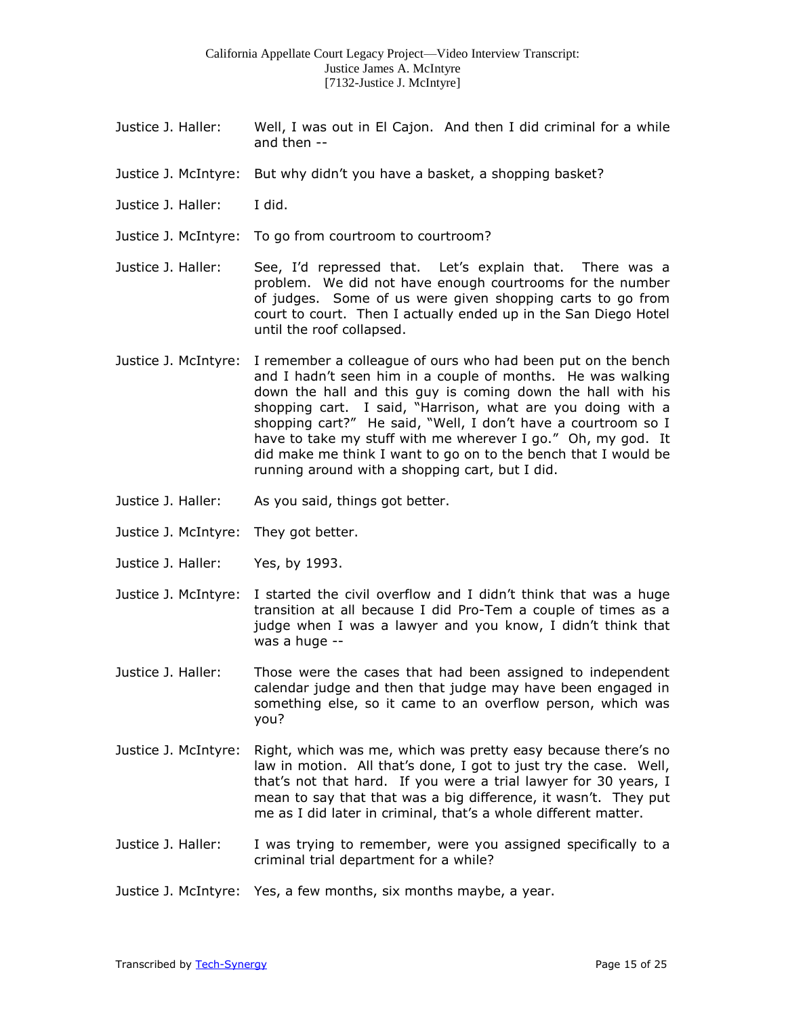- Justice J. Haller: Well, I was out in El Cajon. And then I did criminal for a while and then --
- Justice J. McIntyre: But why didn't you have a basket, a shopping basket?
- Justice J. Haller: I did.
- Justice J. McIntyre: To go from courtroom to courtroom?
- Justice J. Haller: See, I'd repressed that. Let's explain that. There was a problem. We did not have enough courtrooms for the number of judges. Some of us were given shopping carts to go from court to court. Then I actually ended up in the San Diego Hotel until the roof collapsed.
- Justice J. McIntyre: I remember a colleague of ours who had been put on the bench and I hadn't seen him in a couple of months. He was walking down the hall and this guy is coming down the hall with his shopping cart. I said, "Harrison, what are you doing with a shopping cart?" He said, "Well, I don't have a courtroom so I have to take my stuff with me wherever I go." Oh, my god. It did make me think I want to go on to the bench that I would be running around with a shopping cart, but I did.
- Justice J. Haller: As you said, things got better.
- Justice J. McIntyre: They got better.
- Justice J. Haller: Yes, by 1993.
- Justice J. McIntyre: I started the civil overflow and I didn't think that was a huge transition at all because I did Pro-Tem a couple of times as a judge when I was a lawyer and you know, I didn't think that was a huge --
- Justice J. Haller: Those were the cases that had been assigned to independent calendar judge and then that judge may have been engaged in something else, so it came to an overflow person, which was you?
- Justice J. McIntyre: Right, which was me, which was pretty easy because there's no law in motion. All that's done, I got to just try the case. Well, that's not that hard. If you were a trial lawyer for 30 years, I mean to say that that was a big difference, it wasn't. They put me as I did later in criminal, that's a whole different matter.
- Justice J. Haller: I was trying to remember, were you assigned specifically to a criminal trial department for a while?
- Justice J. McIntyre: Yes, a few months, six months maybe, a year.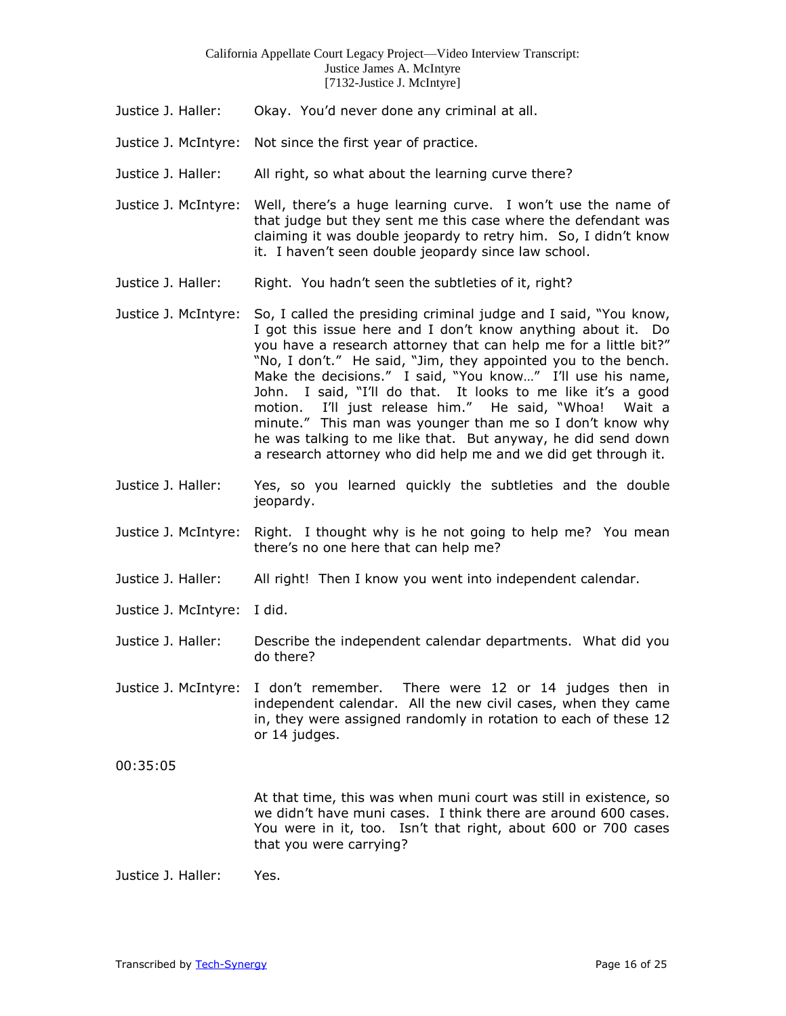- Justice J. Haller: Okay. You'd never done any criminal at all.
- Justice J. McIntyre: Not since the first year of practice.
- Justice J. Haller: All right, so what about the learning curve there?
- Justice J. McIntyre: Well, there's a huge learning curve. I won't use the name of that judge but they sent me this case where the defendant was claiming it was double jeopardy to retry him. So, I didn't know it. I haven't seen double jeopardy since law school.
- Justice J. Haller: Right. You hadn't seen the subtleties of it, right?
- Justice J. McIntyre: So, I called the presiding criminal judge and I said, "You know, I got this issue here and I don't know anything about it. Do you have a research attorney that can help me for a little bit?" "No, I don't." He said, "Jim, they appointed you to the bench. Make the decisions." I said, "You know…" I'll use his name, John. I said, "I'll do that. It looks to me like it's a good motion. I'll just release him." He said, "Whoa! Wait a minute." This man was younger than me so I don't know why he was talking to me like that. But anyway, he did send down a research attorney who did help me and we did get through it.
- Justice J. Haller: Yes, so you learned quickly the subtleties and the double jeopardy.
- Justice J. McIntyre: Right. I thought why is he not going to help me? You mean there's no one here that can help me?
- Justice J. Haller: All right! Then I know you went into independent calendar.
- Justice J. McIntyre: I did.
- Justice J. Haller: Describe the independent calendar departments. What did you do there?
- Justice J. McIntyre: I don't remember. There were 12 or 14 judges then in independent calendar. All the new civil cases, when they came in, they were assigned randomly in rotation to each of these 12 or 14 judges.
- 00:35:05

At that time, this was when muni court was still in existence, so we didn't have muni cases. I think there are around 600 cases. You were in it, too. Isn't that right, about 600 or 700 cases that you were carrying?

Justice J. Haller: Yes.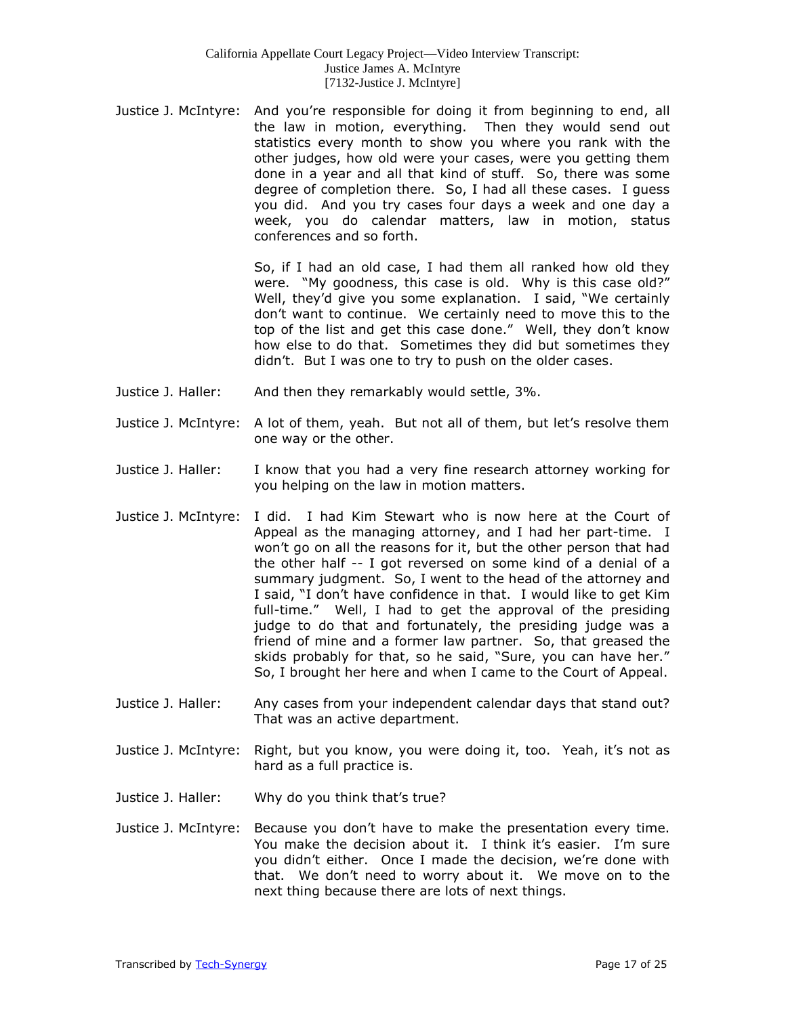Justice J. McIntyre: And you're responsible for doing it from beginning to end, all the law in motion, everything. Then they would send out statistics every month to show you where you rank with the other judges, how old were your cases, were you getting them done in a year and all that kind of stuff. So, there was some degree of completion there. So, I had all these cases. I guess you did. And you try cases four days a week and one day a week, you do calendar matters, law in motion, status conferences and so forth.

> So, if I had an old case, I had them all ranked how old they were. "My goodness, this case is old. Why is this case old?" Well, they'd give you some explanation. I said, "We certainly don't want to continue. We certainly need to move this to the top of the list and get this case done." Well, they don't know how else to do that. Sometimes they did but sometimes they didn't. But I was one to try to push on the older cases.

- Justice J. Haller: And then they remarkably would settle, 3%.
- Justice J. McIntyre: A lot of them, yeah. But not all of them, but let's resolve them one way or the other.
- Justice J. Haller: I know that you had a very fine research attorney working for you helping on the law in motion matters.
- Justice J. McIntyre: I did. I had Kim Stewart who is now here at the Court of Appeal as the managing attorney, and I had her part-time. I won't go on all the reasons for it, but the other person that had the other half -- I got reversed on some kind of a denial of a summary judgment. So, I went to the head of the attorney and I said, "I don't have confidence in that. I would like to get Kim full-time." Well, I had to get the approval of the presiding judge to do that and fortunately, the presiding judge was a friend of mine and a former law partner. So, that greased the skids probably for that, so he said, "Sure, you can have her." So, I brought her here and when I came to the Court of Appeal.
- Justice J. Haller: Any cases from your independent calendar days that stand out? That was an active department.
- Justice J. McIntyre: Right, but you know, you were doing it, too. Yeah, it's not as hard as a full practice is.
- Justice J. Haller: Why do you think that's true?
- Justice J. McIntyre: Because you don't have to make the presentation every time. You make the decision about it. I think it's easier. I'm sure you didn't either. Once I made the decision, we're done with that. We don't need to worry about it. We move on to the next thing because there are lots of next things.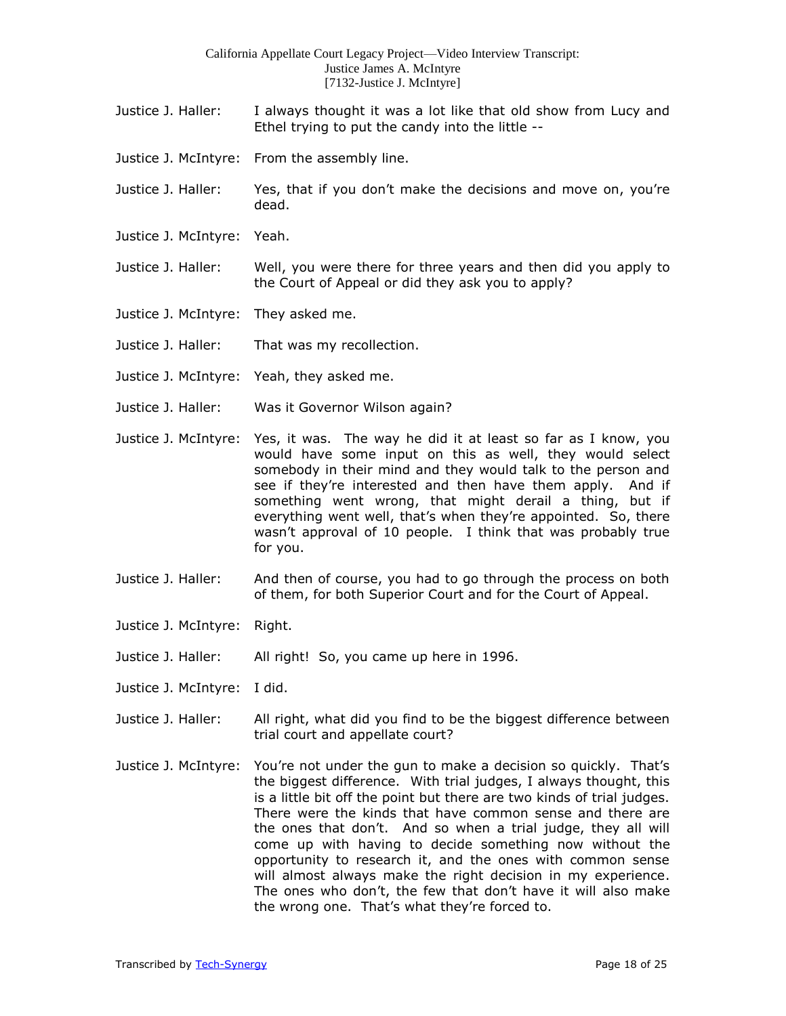- Justice J. Haller: I always thought it was a lot like that old show from Lucy and Ethel trying to put the candy into the little --
- Justice J. McIntyre: From the assembly line.
- Justice J. Haller: Yes, that if you don't make the decisions and move on, you're dead.
- Justice J. McIntyre: Yeah.
- Justice J. Haller: Well, you were there for three years and then did you apply to the Court of Appeal or did they ask you to apply?
- Justice J. McIntyre: They asked me.
- Justice J. Haller: That was my recollection.
- Justice J. McIntyre: Yeah, they asked me.
- Justice J. Haller: Was it Governor Wilson again?
- Justice J. McIntyre: Yes, it was. The way he did it at least so far as I know, you would have some input on this as well, they would select somebody in their mind and they would talk to the person and see if they're interested and then have them apply. And if something went wrong, that might derail a thing, but if everything went well, that's when they're appointed. So, there wasn't approval of 10 people. I think that was probably true for you.
- Justice J. Haller: And then of course, you had to go through the process on both of them, for both Superior Court and for the Court of Appeal.
- Justice J. McIntyre: Right.
- Justice J. Haller: All right! So, you came up here in 1996.
- Justice J. McIntyre: I did.
- Justice J. Haller: All right, what did you find to be the biggest difference between trial court and appellate court?
- Justice J. McIntyre: You're not under the gun to make a decision so quickly. That's the biggest difference. With trial judges, I always thought, this is a little bit off the point but there are two kinds of trial judges. There were the kinds that have common sense and there are the ones that don't. And so when a trial judge, they all will come up with having to decide something now without the opportunity to research it, and the ones with common sense will almost always make the right decision in my experience. The ones who don't, the few that don't have it will also make the wrong one. That's what they're forced to.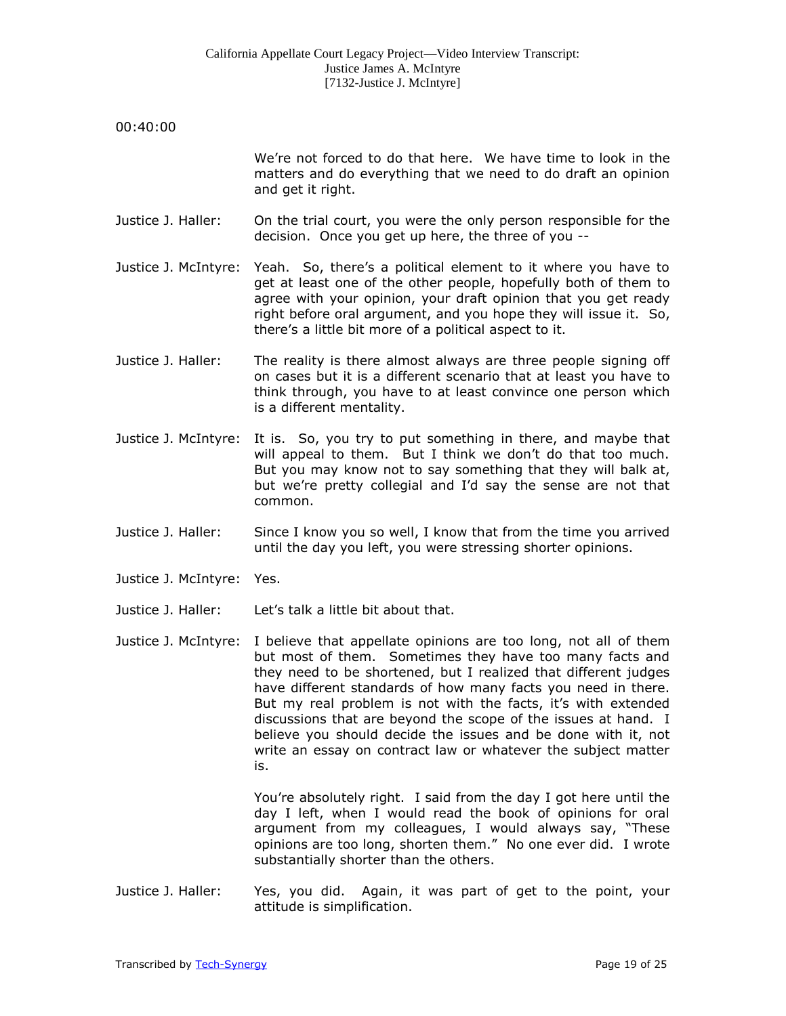| 00:40:00             |                                                                                                                                                                                                                                                                                                                                                                                                                                                                                                                                             |
|----------------------|---------------------------------------------------------------------------------------------------------------------------------------------------------------------------------------------------------------------------------------------------------------------------------------------------------------------------------------------------------------------------------------------------------------------------------------------------------------------------------------------------------------------------------------------|
|                      | We're not forced to do that here. We have time to look in the<br>matters and do everything that we need to do draft an opinion<br>and get it right.                                                                                                                                                                                                                                                                                                                                                                                         |
| Justice J. Haller:   | On the trial court, you were the only person responsible for the<br>decision. Once you get up here, the three of you --                                                                                                                                                                                                                                                                                                                                                                                                                     |
| Justice J. McIntyre: | Yeah. So, there's a political element to it where you have to<br>get at least one of the other people, hopefully both of them to<br>agree with your opinion, your draft opinion that you get ready<br>right before oral argument, and you hope they will issue it. So,<br>there's a little bit more of a political aspect to it.                                                                                                                                                                                                            |
| Justice J. Haller:   | The reality is there almost always are three people signing off<br>on cases but it is a different scenario that at least you have to<br>think through, you have to at least convince one person which<br>is a different mentality.                                                                                                                                                                                                                                                                                                          |
| Justice J. McIntyre: | It is. So, you try to put something in there, and maybe that<br>will appeal to them. But I think we don't do that too much.<br>But you may know not to say something that they will balk at,<br>but we're pretty collegial and I'd say the sense are not that<br>common.                                                                                                                                                                                                                                                                    |
| Justice J. Haller:   | Since I know you so well, I know that from the time you arrived<br>until the day you left, you were stressing shorter opinions.                                                                                                                                                                                                                                                                                                                                                                                                             |
| Justice J. McIntyre: | Yes.                                                                                                                                                                                                                                                                                                                                                                                                                                                                                                                                        |
| Justice J. Haller:   | Let's talk a little bit about that.                                                                                                                                                                                                                                                                                                                                                                                                                                                                                                         |
| Justice J. McIntyre: | I believe that appellate opinions are too long, not all of them<br>but most of them. Sometimes they have too many facts and<br>they need to be shortened, but I realized that different judges<br>have different standards of how many facts you need in there.<br>But my real problem is not with the facts, it's with extended<br>discussions that are beyond the scope of the issues at hand. I<br>believe you should decide the issues and be done with it, not<br>write an essay on contract law or whatever the subject matter<br>is. |
|                      | You're absolutely right. I said from the day I got here until the<br>day I left, when I would read the book of opinions for oral<br>argument from my colleagues, I would always say, "These<br>opinions are too long, shorten them." No one ever did. I wrote<br>substantially shorter than the others.                                                                                                                                                                                                                                     |

Justice J. Haller: Yes, you did. Again, it was part of get to the point, your attitude is simplification.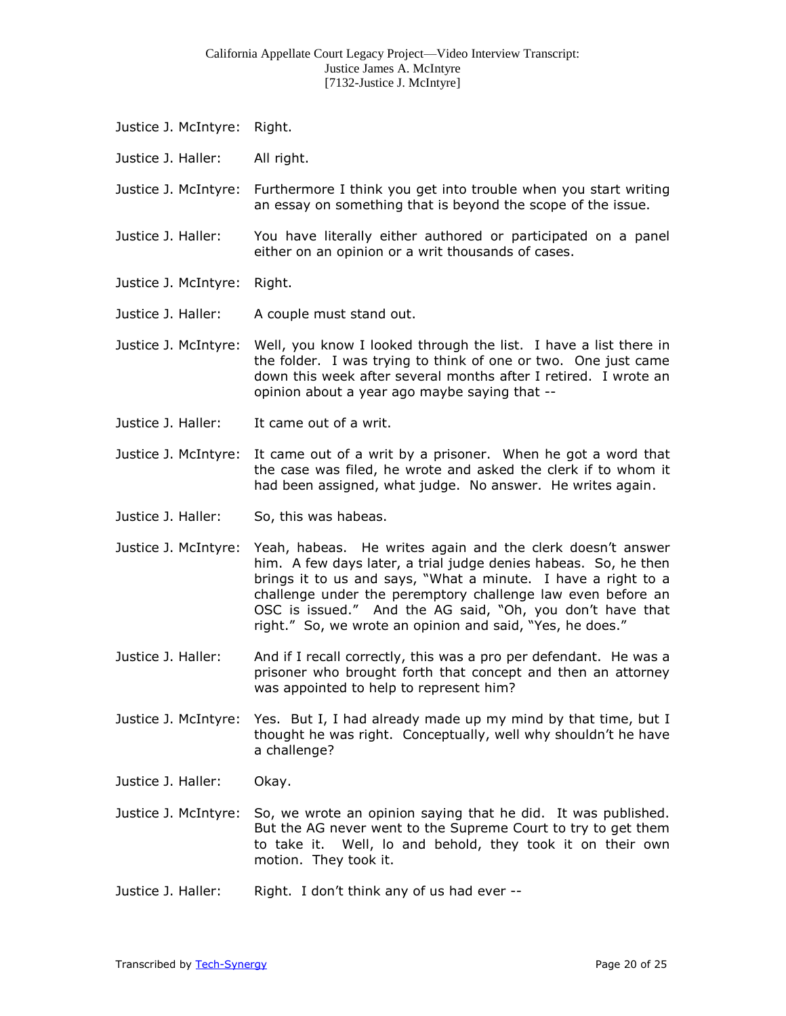- Justice J. McIntyre: Right.
- Justice J. Haller: All right.

Justice J. McIntyre: Furthermore I think you get into trouble when you start writing an essay on something that is beyond the scope of the issue.

- Justice J. Haller: You have literally either authored or participated on a panel either on an opinion or a writ thousands of cases.
- Justice J. McIntyre: Right.
- Justice J. Haller: A couple must stand out.
- Justice J. McIntyre: Well, you know I looked through the list. I have a list there in the folder. I was trying to think of one or two. One just came down this week after several months after I retired. I wrote an opinion about a year ago maybe saying that --
- Justice J. Haller: It came out of a writ.
- Justice J. McIntyre: It came out of a writ by a prisoner. When he got a word that the case was filed, he wrote and asked the clerk if to whom it had been assigned, what judge. No answer. He writes again.
- Justice J. Haller: So, this was habeas.
- Justice J. McIntyre: Yeah, habeas. He writes again and the clerk doesn't answer him. A few days later, a trial judge denies habeas. So, he then brings it to us and says, "What a minute. I have a right to a challenge under the peremptory challenge law even before an OSC is issued." And the AG said, "Oh, you don't have that right." So, we wrote an opinion and said, "Yes, he does."
- Justice J. Haller: And if I recall correctly, this was a pro per defendant. He was a prisoner who brought forth that concept and then an attorney was appointed to help to represent him?
- Justice J. McIntyre: Yes. But I, I had already made up my mind by that time, but I thought he was right. Conceptually, well why shouldn't he have a challenge?
- Justice J. Haller: Okay.
- Justice J. McIntyre: So, we wrote an opinion saying that he did. It was published. But the AG never went to the Supreme Court to try to get them to take it. Well, lo and behold, they took it on their own motion. They took it.
- Justice J. Haller: Right. I don't think any of us had ever --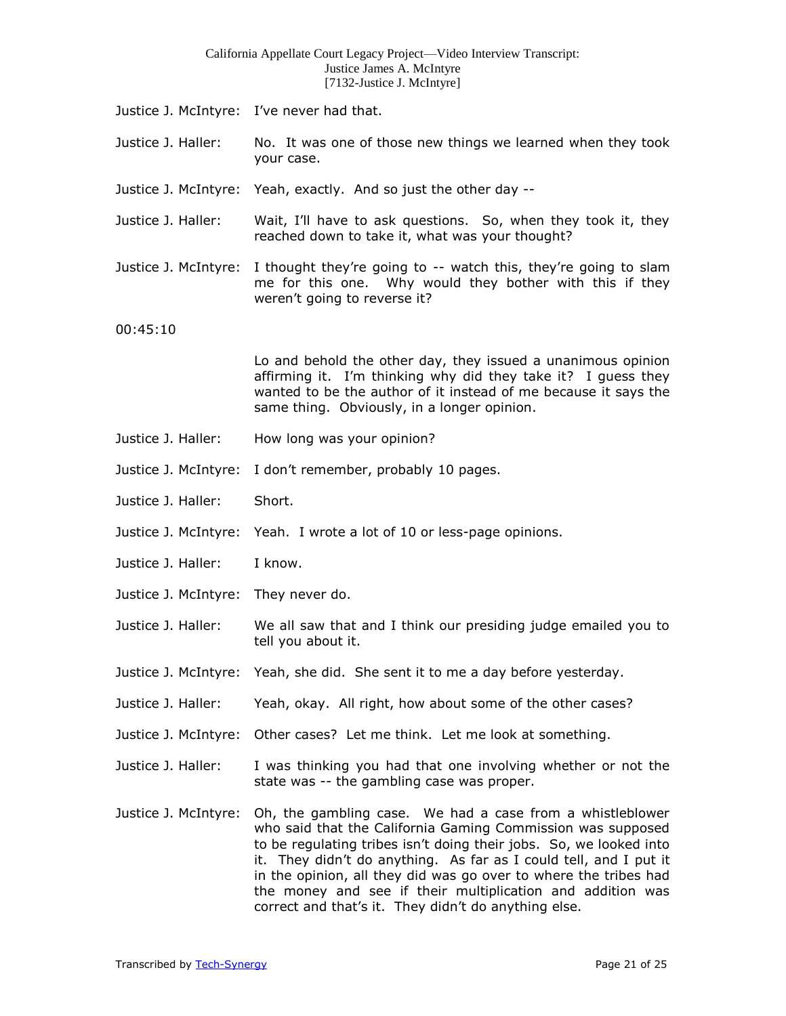- Justice J. McIntyre: I've never had that.
- Justice J. Haller: No. It was one of those new things we learned when they took your case.
- Justice J. McIntyre: Yeah, exactly. And so just the other day --
- Justice J. Haller: Wait, I'll have to ask questions. So, when they took it, they reached down to take it, what was your thought?
- Justice J. McIntyre: I thought they're going to -- watch this, they're going to slam me for this one. Why would they bother with this if they weren't going to reverse it?
- 00:45:10

Lo and behold the other day, they issued a unanimous opinion affirming it. I'm thinking why did they take it? I guess they wanted to be the author of it instead of me because it says the same thing. Obviously, in a longer opinion.

- Justice J. Haller: How long was your opinion?
- Justice J. McIntyre: I don't remember, probably 10 pages.
- Justice J. Haller: Short.
- Justice J. McIntyre: Yeah. I wrote a lot of 10 or less-page opinions.
- Justice J. Haller: I know.
- Justice J. McIntyre: They never do.
- Justice J. Haller: We all saw that and I think our presiding judge emailed you to tell you about it.
- Justice J. McIntyre: Yeah, she did. She sent it to me a day before yesterday.
- Justice J. Haller: Yeah, okay. All right, how about some of the other cases?
- Justice J. McIntyre: Other cases? Let me think. Let me look at something.
- Justice J. Haller: I was thinking you had that one involving whether or not the state was -- the gambling case was proper.
- Justice J. McIntyre: Oh, the gambling case. We had a case from a whistleblower who said that the California Gaming Commission was supposed to be regulating tribes isn't doing their jobs. So, we looked into it. They didn't do anything. As far as I could tell, and I put it in the opinion, all they did was go over to where the tribes had the money and see if their multiplication and addition was correct and that's it. They didn't do anything else.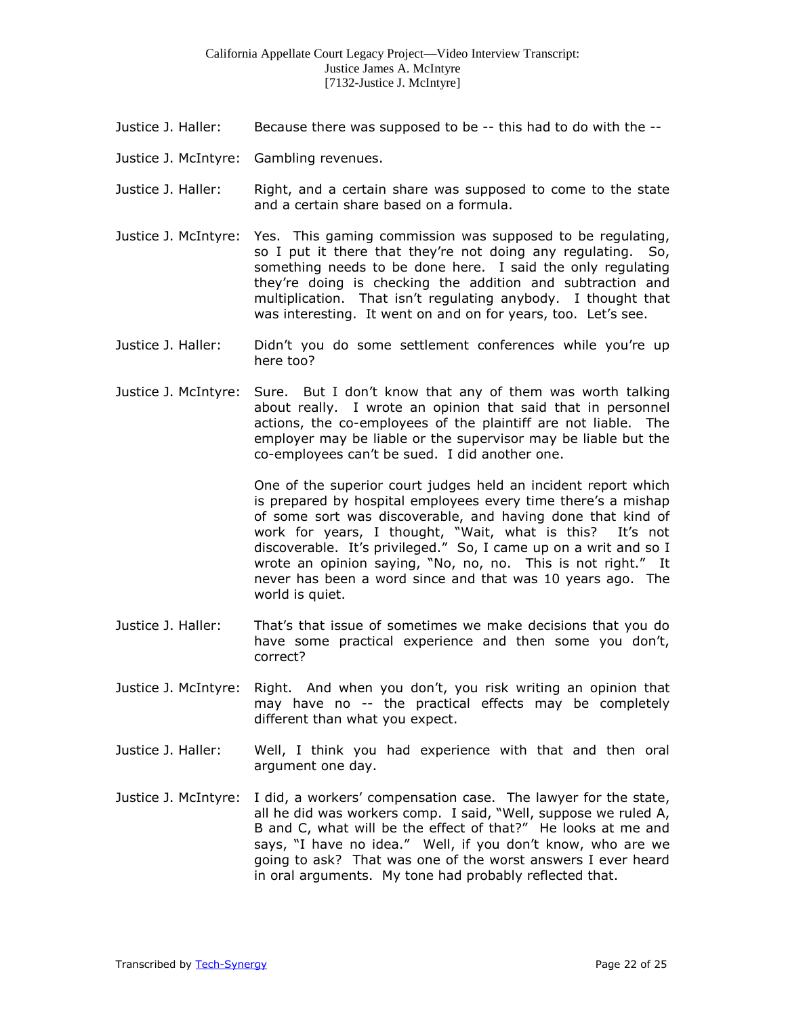- Justice J. Haller: Because there was supposed to be -- this had to do with the --
- Justice J. McIntyre: Gambling revenues.
- Justice J. Haller: Right, and a certain share was supposed to come to the state and a certain share based on a formula.
- Justice J. McIntyre: Yes. This gaming commission was supposed to be regulating, so I put it there that they're not doing any regulating. So, something needs to be done here. I said the only regulating they're doing is checking the addition and subtraction and multiplication. That isn't regulating anybody. I thought that was interesting. It went on and on for years, too. Let's see.
- Justice J. Haller: Didn't you do some settlement conferences while you're up here too?
- Justice J. McIntyre: Sure. But I don't know that any of them was worth talking about really. I wrote an opinion that said that in personnel actions, the co-employees of the plaintiff are not liable. The employer may be liable or the supervisor may be liable but the co-employees can't be sued. I did another one.

One of the superior court judges held an incident report which is prepared by hospital employees every time there's a mishap of some sort was discoverable, and having done that kind of work for years, I thought, "Wait, what is this? It's not discoverable. It's privileged." So, I came up on a writ and so I wrote an opinion saying, "No, no, no. This is not right." It never has been a word since and that was 10 years ago. The world is quiet.

- Justice J. Haller: That's that issue of sometimes we make decisions that you do have some practical experience and then some you don't, correct?
- Justice J. McIntyre: Right. And when you don't, you risk writing an opinion that may have no -- the practical effects may be completely different than what you expect.
- Justice J. Haller: Well, I think you had experience with that and then oral argument one day.
- Justice J. McIntyre: I did, a workers' compensation case. The lawyer for the state, all he did was workers comp. I said, "Well, suppose we ruled A, B and C, what will be the effect of that?" He looks at me and says, "I have no idea." Well, if you don't know, who are we going to ask? That was one of the worst answers I ever heard in oral arguments. My tone had probably reflected that.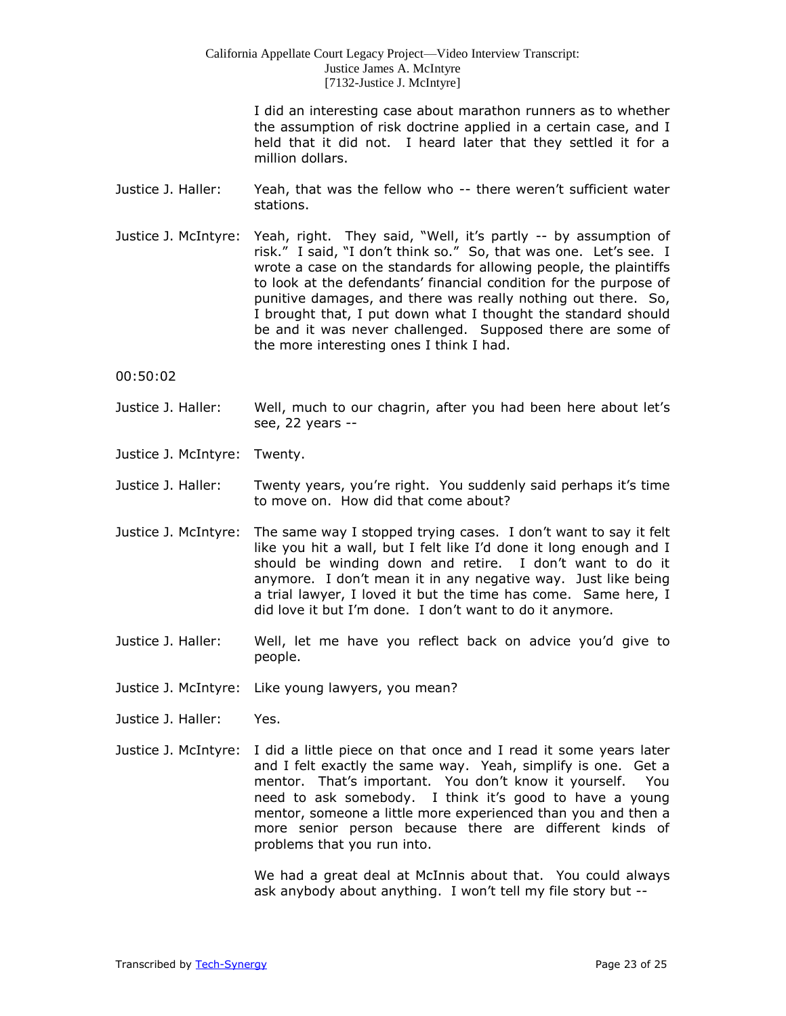I did an interesting case about marathon runners as to whether the assumption of risk doctrine applied in a certain case, and I held that it did not. I heard later that they settled it for a million dollars.

- Justice J. Haller: Yeah, that was the fellow who -- there weren't sufficient water stations.
- Justice J. McIntyre: Yeah, right. They said, "Well, it's partly -- by assumption of risk." I said, "I don't think so." So, that was one. Let's see. I wrote a case on the standards for allowing people, the plaintiffs to look at the defendants' financial condition for the purpose of punitive damages, and there was really nothing out there. So, I brought that, I put down what I thought the standard should be and it was never challenged. Supposed there are some of the more interesting ones I think I had.

00:50:02

- Justice J. Haller: Well, much to our chagrin, after you had been here about let's see, 22 years --
- Justice J. McIntyre: Twenty.
- Justice J. Haller: Twenty years, you're right. You suddenly said perhaps it's time to move on. How did that come about?
- Justice J. McIntyre: The same way I stopped trying cases. I don't want to say it felt like you hit a wall, but I felt like I'd done it long enough and I should be winding down and retire. I don't want to do it anymore. I don't mean it in any negative way. Just like being a trial lawyer, I loved it but the time has come. Same here, I did love it but I'm done. I don't want to do it anymore.
- Justice J. Haller: Well, let me have you reflect back on advice you'd give to people.
- Justice J. McIntyre: Like young lawyers, you mean?
- Justice J. Haller: Yes.
- Justice J. McIntyre: I did a little piece on that once and I read it some years later and I felt exactly the same way. Yeah, simplify is one. Get a mentor. That's important. You don't know it yourself. You need to ask somebody. I think it's good to have a young mentor, someone a little more experienced than you and then a more senior person because there are different kinds of problems that you run into.

We had a great deal at McInnis about that. You could always ask anybody about anything. I won't tell my file story but --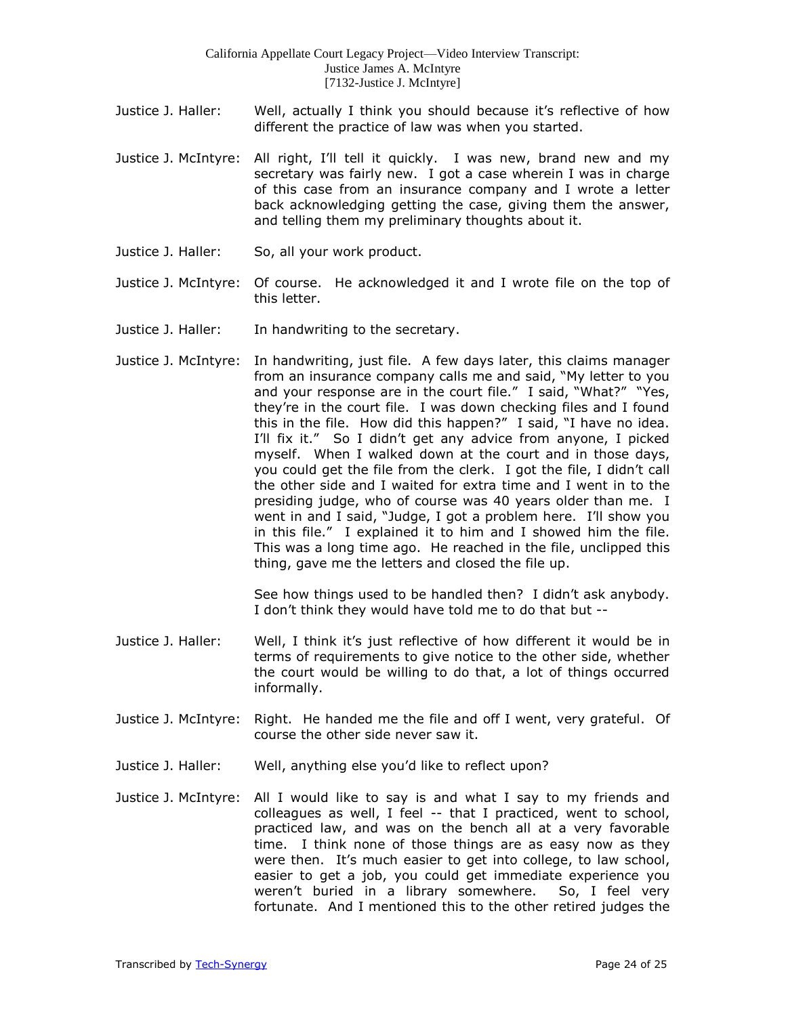- Justice J. Haller: Well, actually I think you should because it's reflective of how different the practice of law was when you started.
- Justice J. McIntyre: All right, I'll tell it quickly. I was new, brand new and my secretary was fairly new. I got a case wherein I was in charge of this case from an insurance company and I wrote a letter back acknowledging getting the case, giving them the answer, and telling them my preliminary thoughts about it.
- Justice J. Haller: So, all your work product.
- Justice J. McIntyre: Of course. He acknowledged it and I wrote file on the top of this letter.
- Justice J. Haller: In handwriting to the secretary.
- Justice J. McIntyre: In handwriting, just file. A few days later, this claims manager from an insurance company calls me and said, "My letter to you and your response are in the court file." I said, "What?" "Yes, they're in the court file. I was down checking files and I found this in the file. How did this happen?" I said, "I have no idea. I'll fix it." So I didn't get any advice from anyone, I picked myself. When I walked down at the court and in those days, you could get the file from the clerk. I got the file, I didn't call the other side and I waited for extra time and I went in to the presiding judge, who of course was 40 years older than me. I went in and I said, "Judge, I got a problem here. I'll show you in this file." I explained it to him and I showed him the file. This was a long time ago. He reached in the file, unclipped this thing, gave me the letters and closed the file up.

See how things used to be handled then? I didn't ask anybody. I don't think they would have told me to do that but --

- Justice J. Haller: Well, I think it's just reflective of how different it would be in terms of requirements to give notice to the other side, whether the court would be willing to do that, a lot of things occurred informally.
- Justice J. McIntyre: Right. He handed me the file and off I went, very grateful. Of course the other side never saw it.
- Justice J. Haller: Well, anything else you'd like to reflect upon?
- Justice J. McIntyre: All I would like to say is and what I say to my friends and colleagues as well, I feel -- that I practiced, went to school, practiced law, and was on the bench all at a very favorable time. I think none of those things are as easy now as they were then. It's much easier to get into college, to law school, easier to get a job, you could get immediate experience you weren't buried in a library somewhere. So, I feel very fortunate. And I mentioned this to the other retired judges the